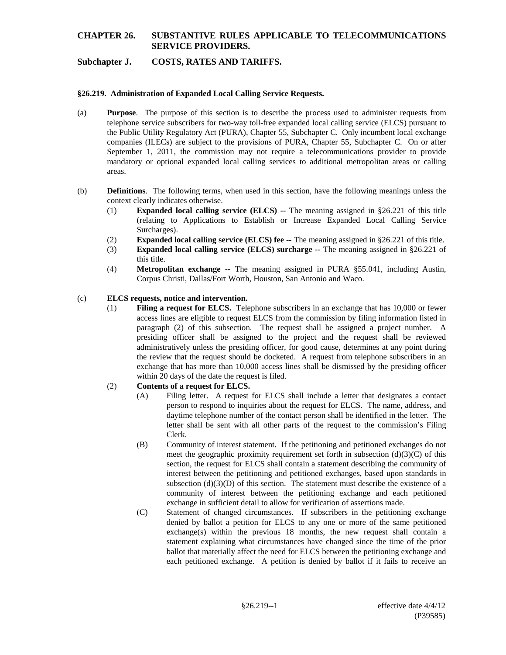## **Subchapter J. COSTS, RATES AND TARIFFS.**

#### **§26.219. Administration of Expanded Local Calling Service Requests.**

- (a) **Purpose**. The purpose of this section is to describe the process used to administer requests from telephone service subscribers for two-way toll-free expanded local calling service (ELCS) pursuant to the Public Utility Regulatory Act (PURA), Chapter 55, Subchapter C. Only incumbent local exchange companies (ILECs) are subject to the provisions of PURA, Chapter 55, Subchapter C. On or after September 1, 2011, the commission may not require a telecommunications provider to provide mandatory or optional expanded local calling services to additional metropolitan areas or calling areas.
- (b) **Definitions**. The following terms, when used in this section, have the following meanings unless the context clearly indicates otherwise.
	- (1) **Expanded local calling service (ELCS) --** The meaning assigned in §26.221 of this title (relating to Applications to Establish or Increase Expanded Local Calling Service Surcharges).
	- (2) **Expanded local calling service (ELCS) fee --** The meaning assigned in §26.221 of this title.
	- (3) **Expanded local calling service (ELCS) surcharge --** The meaning assigned in §26.221 of this title.
	- (4) **Metropolitan exchange --** The meaning assigned in PURA §55.041, including Austin, Corpus Christi, Dallas/Fort Worth, Houston, San Antonio and Waco.

#### (c) **ELCS requests, notice and intervention.**

(1) **Filing a request for ELCS.** Telephone subscribers in an exchange that has 10,000 or fewer access lines are eligible to request ELCS from the commission by filing information listed in paragraph (2) of this subsection. The request shall be assigned a project number. A presiding officer shall be assigned to the project and the request shall be reviewed administratively unless the presiding officer, for good cause, determines at any point during the review that the request should be docketed. A request from telephone subscribers in an exchange that has more than 10,000 access lines shall be dismissed by the presiding officer within 20 days of the date the request is filed.

#### (2) **Contents of a request for ELCS.**

- (A) Filing letter. A request for ELCS shall include a letter that designates a contact person to respond to inquiries about the request for ELCS. The name, address, and daytime telephone number of the contact person shall be identified in the letter. The letter shall be sent with all other parts of the request to the commission's Filing Clerk.
- (B) Community of interest statement. If the petitioning and petitioned exchanges do not meet the geographic proximity requirement set forth in subsection  $(d)(3)(C)$  of this section, the request for ELCS shall contain a statement describing the community of interest between the petitioning and petitioned exchanges, based upon standards in subsection  $(d)(3)(D)$  of this section. The statement must describe the existence of a community of interest between the petitioning exchange and each petitioned exchange in sufficient detail to allow for verification of assertions made.
- (C) Statement of changed circumstances. If subscribers in the petitioning exchange denied by ballot a petition for ELCS to any one or more of the same petitioned exchange(s) within the previous 18 months, the new request shall contain a statement explaining what circumstances have changed since the time of the prior ballot that materially affect the need for ELCS between the petitioning exchange and each petitioned exchange. A petition is denied by ballot if it fails to receive an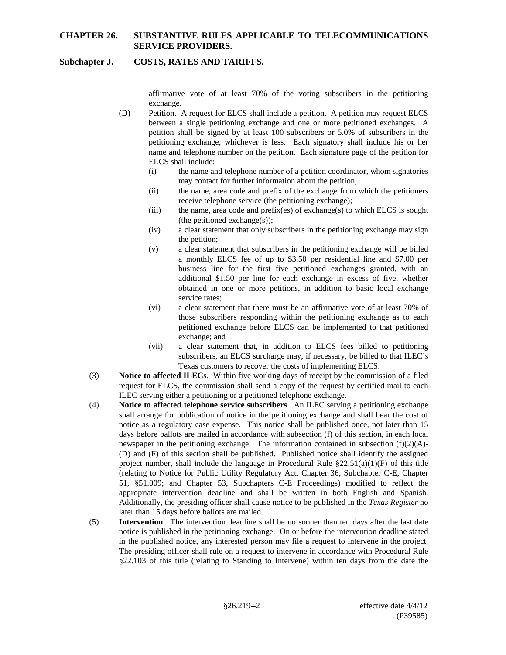### **Subchapter J. COSTS, RATES AND TARIFFS.**

affirmative vote of at least 70% of the voting subscribers in the petitioning exchange.

- (D) Petition.A request for ELCS shall include a petition. A petition may request ELCS between a single petitioning exchange and one or more petitioned exchanges. A petition shall be signed by at least 100 subscribers or 5.0% of subscribers in the petitioning exchange, whichever is less. Each signatory shall include his or her name and telephone number on the petition. Each signature page of the petition for ELCS shall include:
	- (i) the name and telephone number of a petition coordinator, whom signatories may contact for further information about the petition;
	- (ii) the name, area code and prefix of the exchange from which the petitioners receive telephone service (the petitioning exchange);
	- (iii) the name, area code and prefix(es) of exchange(s) to which ELCS is sought (the petitioned exchange(s));
	- (iv) a clear statement that only subscribers in the petitioning exchange may sign the petition;
	- (v) a clear statement that subscribers in the petitioning exchange will be billed a monthly ELCS fee of up to \$3.50 per residential line and \$7.00 per business line for the first five petitioned exchanges granted, with an additional \$1.50 per line for each exchange in excess of five, whether obtained in one or more petitions, in addition to basic local exchange service rates;
	- (vi) a clear statement that there must be an affirmative vote of at least 70% of those subscribers responding within the petitioning exchange as to each petitioned exchange before ELCS can be implemented to that petitioned exchange; and
	- (vii) a clear statement that, in addition to ELCS fees billed to petitioning subscribers, an ELCS surcharge may, if necessary, be billed to that ILEC's Texas customers to recover the costs of implementing ELCS.
- (3) **Notice to affected ILECs**. Within five working days of receipt by the commission of a filed request for ELCS, the commission shall send a copy of the request by certified mail to each ILEC serving either a petitioning or a petitioned telephone exchange.
- (4) **Notice to affected telephone service subscribers**. An ILEC serving a petitioning exchange shall arrange for publication of notice in the petitioning exchange and shall bear the cost of notice as a regulatory case expense. This notice shall be published once, not later than 15 days before ballots are mailed in accordance with subsection (f) of this section, in each local newspaper in the petitioning exchange. The information contained in subsection  $(f)(2)(A)$ -(D) and (F) of this section shall be published. Published notice shall identify the assigned project number, shall include the language in Procedural Rule §22.51(a)(1)(F) of this title (relating to Notice for Public Utility Regulatory Act, Chapter 36, Subchapter C-E, Chapter 51, §51.009; and Chapter 53, Subchapters C-E Proceedings) modified to reflect the appropriate intervention deadline and shall be written in both English and Spanish. Additionally, the presiding officer shall cause notice to be published in the *Texas Register* no later than 15 days before ballots are mailed.
- (5) **Intervention**. The intervention deadline shall be no sooner than ten days after the last date notice is published in the petitioning exchange. On or before the intervention deadline stated in the published notice, any interested person may file a request to intervene in the project. The presiding officer shall rule on a request to intervene in accordance with Procedural Rule §22.103 of this title (relating to Standing to Intervene) within ten days from the date the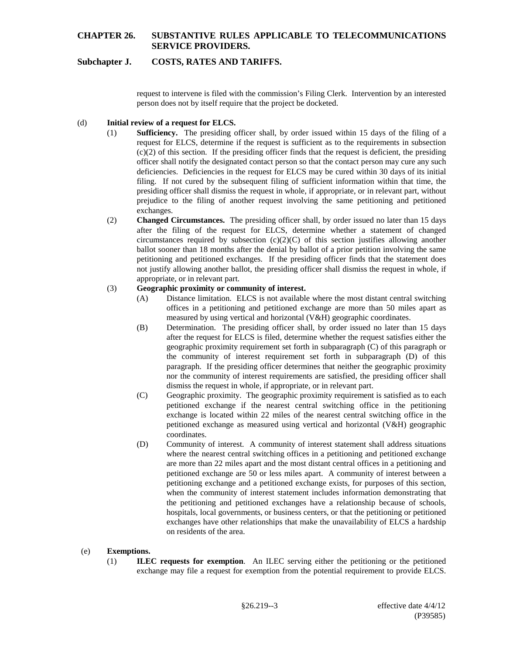## **Subchapter J. COSTS, RATES AND TARIFFS.**

request to intervene is filed with the commission's Filing Clerk. Intervention by an interested person does not by itself require that the project be docketed.

#### (d) **Initial review of a request for ELCS.**

- (1) **Sufficiency.** The presiding officer shall, by order issued within 15 days of the filing of a request for ELCS, determine if the request is sufficient as to the requirements in subsection  $(c)(2)$  of this section. If the presiding officer finds that the request is deficient, the presiding officer shall notify the designated contact person so that the contact person may cure any such deficiencies. Deficiencies in the request for ELCS may be cured within 30 days of its initial filing. If not cured by the subsequent filing of sufficient information within that time, the presiding officer shall dismiss the request in whole, if appropriate, or in relevant part, without prejudice to the filing of another request involving the same petitioning and petitioned exchanges.
- (2) **Changed Circumstances.** The presiding officer shall, by order issued no later than 15 days after the filing of the request for ELCS, determine whether a statement of changed circumstances required by subsection  $(c)(2)(C)$  of this section justifies allowing another ballot sooner than 18 months after the denial by ballot of a prior petition involving the same petitioning and petitioned exchanges. If the presiding officer finds that the statement does not justify allowing another ballot, the presiding officer shall dismiss the request in whole, if appropriate, or in relevant part.

#### (3) **Geographic proximity or community of interest.**

- (A) Distance limitation. ELCS is not available where the most distant central switching offices in a petitioning and petitioned exchange are more than 50 miles apart as measured by using vertical and horizontal (V&H) geographic coordinates.
- (B) Determination. The presiding officer shall, by order issued no later than 15 days after the request for ELCS is filed, determine whether the request satisfies either the geographic proximity requirement set forth in subparagraph (C) of this paragraph or the community of interest requirement set forth in subparagraph (D) of this paragraph. If the presiding officer determines that neither the geographic proximity nor the community of interest requirements are satisfied, the presiding officer shall dismiss the request in whole, if appropriate, or in relevant part.
- (C) Geographic proximity. The geographic proximity requirement is satisfied as to each petitioned exchange if the nearest central switching office in the petitioning exchange is located within 22 miles of the nearest central switching office in the petitioned exchange as measured using vertical and horizontal (V&H) geographic coordinates.
- (D) Community of interest. A community of interest statement shall address situations where the nearest central switching offices in a petitioning and petitioned exchange are more than 22 miles apart and the most distant central offices in a petitioning and petitioned exchange are 50 or less miles apart. A community of interest between a petitioning exchange and a petitioned exchange exists, for purposes of this section, when the community of interest statement includes information demonstrating that the petitioning and petitioned exchanges have a relationship because of schools, hospitals, local governments, or business centers, or that the petitioning or petitioned exchanges have other relationships that make the unavailability of ELCS a hardship on residents of the area.

### (e) **Exemptions.**

(1) **ILEC requests for exemption**. An ILEC serving either the petitioning or the petitioned exchange may file a request for exemption from the potential requirement to provide ELCS.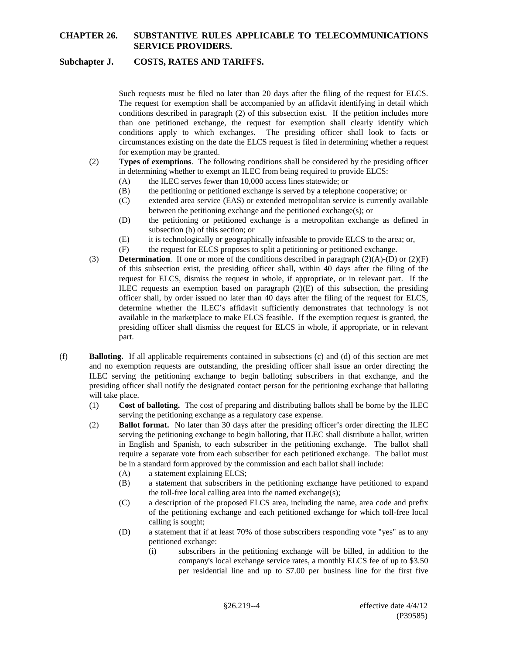## **Subchapter J. COSTS, RATES AND TARIFFS.**

Such requests must be filed no later than 20 days after the filing of the request for ELCS. The request for exemption shall be accompanied by an affidavit identifying in detail which conditions described in paragraph (2) of this subsection exist. If the petition includes more than one petitioned exchange, the request for exemption shall clearly identify which conditions apply to which exchanges. The presiding officer shall look to facts or circumstances existing on the date the ELCS request is filed in determining whether a request for exemption may be granted.

- (2) **Types of exemptions**. The following conditions shall be considered by the presiding officer in determining whether to exempt an ILEC from being required to provide ELCS:
	- (A) the ILEC serves fewer than 10,000 access lines statewide; or
	- (B) the petitioning or petitioned exchange is served by a telephone cooperative; or
	- (C) extended area service (EAS) or extended metropolitan service is currently available between the petitioning exchange and the petitioned exchange(s); or
	- (D) the petitioning or petitioned exchange is a metropolitan exchange as defined in subsection (b) of this section; or
	- (E) it is technologically or geographically infeasible to provide ELCS to the area; or,
	- (F) the request for ELCS proposes to split a petitioning or petitioned exchange.
- (3) **Determination**. If one or more of the conditions described in paragraph (2)(A)-(D) or (2)(F) of this subsection exist, the presiding officer shall, within 40 days after the filing of the request for ELCS, dismiss the request in whole, if appropriate, or in relevant part. If the ILEC requests an exemption based on paragraph  $(2)(E)$  of this subsection, the presiding officer shall, by order issued no later than 40 days after the filing of the request for ELCS, determine whether the ILEC's affidavit sufficiently demonstrates that technology is not available in the marketplace to make ELCS feasible. If the exemption request is granted, the presiding officer shall dismiss the request for ELCS in whole, if appropriate, or in relevant part.
- (f) **Balloting.** If all applicable requirements contained in subsections (c) and (d) of this section are met and no exemption requests are outstanding, the presiding officer shall issue an order directing the ILEC serving the petitioning exchange to begin balloting subscribers in that exchange, and the presiding officer shall notify the designated contact person for the petitioning exchange that balloting will take place.
	- (1) **Cost of balloting.** The cost of preparing and distributing ballots shall be borne by the ILEC serving the petitioning exchange as a regulatory case expense.
	- (2) **Ballot format.** No later than 30 days after the presiding officer's order directing the ILEC serving the petitioning exchange to begin balloting, that ILEC shall distribute a ballot, written in English and Spanish, to each subscriber in the petitioning exchange. The ballot shall require a separate vote from each subscriber for each petitioned exchange. The ballot must be in a standard form approved by the commission and each ballot shall include:
		- (A) a statement explaining ELCS;
		- (B) a statement that subscribers in the petitioning exchange have petitioned to expand the toll-free local calling area into the named exchange(s);
		- (C) a description of the proposed ELCS area, including the name, area code and prefix of the petitioning exchange and each petitioned exchange for which toll-free local calling is sought;
		- (D) a statement that if at least 70% of those subscribers responding vote "yes" as to any petitioned exchange:
			- (i) subscribers in the petitioning exchange will be billed, in addition to the company's local exchange service rates, a monthly ELCS fee of up to \$3.50 per residential line and up to \$7.00 per business line for the first five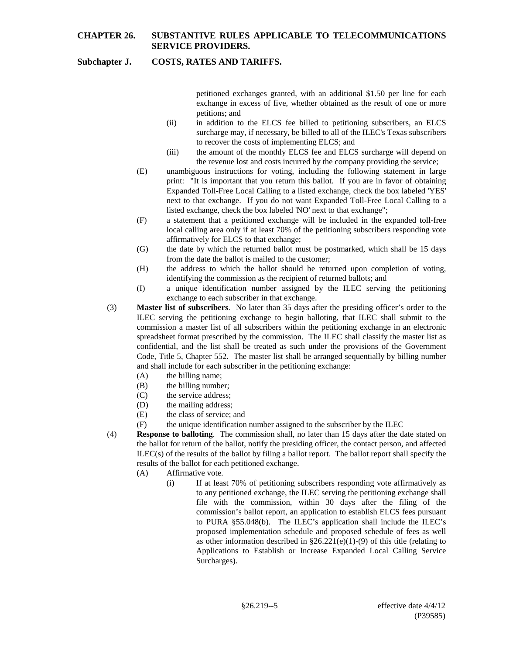## **Subchapter J. COSTS, RATES AND TARIFFS.**

petitioned exchanges granted, with an additional \$1.50 per line for each exchange in excess of five, whether obtained as the result of one or more petitions; and

- (ii) in addition to the ELCS fee billed to petitioning subscribers, an ELCS surcharge may, if necessary, be billed to all of the ILEC's Texas subscribers to recover the costs of implementing ELCS; and
- (iii) the amount of the monthly ELCS fee and ELCS surcharge will depend on the revenue lost and costs incurred by the company providing the service;
- (E) unambiguous instructions for voting, including the following statement in large print: "It is important that you return this ballot. If you are in favor of obtaining Expanded Toll-Free Local Calling to a listed exchange, check the box labeled 'YES' next to that exchange. If you do not want Expanded Toll-Free Local Calling to a listed exchange, check the box labeled 'NO' next to that exchange";
- (F) a statement that a petitioned exchange will be included in the expanded toll-free local calling area only if at least 70% of the petitioning subscribers responding vote affirmatively for ELCS to that exchange;
- (G) the date by which the returned ballot must be postmarked, which shall be 15 days from the date the ballot is mailed to the customer;
- (H) the address to which the ballot should be returned upon completion of voting, identifying the commission as the recipient of returned ballots; and
- (I) a unique identification number assigned by the ILEC serving the petitioning exchange to each subscriber in that exchange.
- (3) **Master list of subscribers**. No later than 35 days after the presiding officer's order to the ILEC serving the petitioning exchange to begin balloting, that ILEC shall submit to the commission a master list of all subscribers within the petitioning exchange in an electronic spreadsheet format prescribed by the commission. The ILEC shall classify the master list as confidential, and the list shall be treated as such under the provisions of the Government Code, Title 5, Chapter 552. The master list shall be arranged sequentially by billing number and shall include for each subscriber in the petitioning exchange:
	- (A) the billing name;
	- (B) the billing number;
	- (C) the service address;
	- (D) the mailing address;
	- (E) the class of service; and
	- (F) the unique identification number assigned to the subscriber by the ILEC
- (4) **Response to balloting**. The commission shall, no later than 15 days after the date stated on the ballot for return of the ballot, notify the presiding officer, the contact person, and affected  $ILEC(s)$  of the results of the ballot by filing a ballot report. The ballot report shall specify the results of the ballot for each petitioned exchange.
	- (A) Affirmative vote.
		- (i) If at least 70% of petitioning subscribers responding vote affirmatively as to any petitioned exchange, the ILEC serving the petitioning exchange shall file with the commission, within 30 days after the filing of the commission's ballot report, an application to establish ELCS fees pursuant to PURA §55.048(b). The ILEC's application shall include the ILEC's proposed implementation schedule and proposed schedule of fees as well as other information described in  $\S26.221(e)(1)-(9)$  of this title (relating to Applications to Establish or Increase Expanded Local Calling Service Surcharges).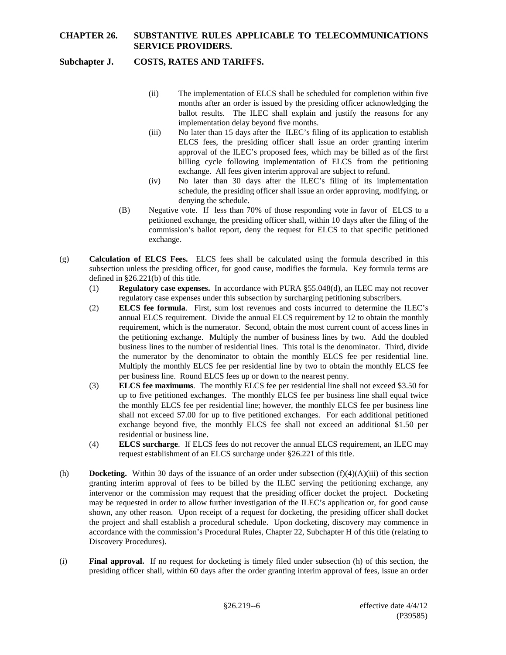# **Subchapter J. COSTS, RATES AND TARIFFS.**

- (ii) The implementation of ELCS shall be scheduled for completion within five months after an order is issued by the presiding officer acknowledging the ballot results. The ILEC shall explain and justify the reasons for any implementation delay beyond five months.
- (iii) No later than 15 days after the ILEC's filing of its application to establish ELCS fees, the presiding officer shall issue an order granting interim approval of the ILEC's proposed fees, which may be billed as of the first billing cycle following implementation of ELCS from the petitioning exchange. All fees given interim approval are subject to refund.
- (iv) No later than 30 days after the ILEC's filing of its implementation schedule, the presiding officer shall issue an order approving, modifying, or denying the schedule.
- (B) Negative vote. If less than 70% of those responding vote in favor of ELCS to a petitioned exchange, the presiding officer shall, within 10 days after the filing of the commission's ballot report, deny the request for ELCS to that specific petitioned exchange.
- (g) **Calculation of ELCS Fees.** ELCS fees shall be calculated using the formula described in this subsection unless the presiding officer, for good cause, modifies the formula. Key formula terms are defined in §26.221(b) of this title.
	- (1) **Regulatory case expenses.** In accordance with PURA §55.048(d), an ILEC may not recover regulatory case expenses under this subsection by surcharging petitioning subscribers.
	- (2) **ELCS fee formula**. First, sum lost revenues and costs incurred to determine the ILEC's annual ELCS requirement. Divide the annual ELCS requirement by 12 to obtain the monthly requirement, which is the numerator. Second, obtain the most current count of access lines in the petitioning exchange. Multiply the number of business lines by two. Add the doubled business lines to the number of residential lines. This total is the denominator. Third, divide the numerator by the denominator to obtain the monthly ELCS fee per residential line. Multiply the monthly ELCS fee per residential line by two to obtain the monthly ELCS fee per business line. Round ELCS fees up or down to the nearest penny.
	- (3) **ELCS fee maximums**. The monthly ELCS fee per residential line shall not exceed \$3.50 for up to five petitioned exchanges. The monthly ELCS fee per business line shall equal twice the monthly ELCS fee per residential line; however, the monthly ELCS fee per business line shall not exceed \$7.00 for up to five petitioned exchanges. For each additional petitioned exchange beyond five, the monthly ELCS fee shall not exceed an additional \$1.50 per residential or business line.
	- (4) **ELCS surcharge**. If ELCS fees do not recover the annual ELCS requirement, an ILEC may request establishment of an ELCS surcharge under §26.221 of this title.
- (h) **Docketing.** Within 30 days of the issuance of an order under subsection (f)(4)(A)(iii) of this section granting interim approval of fees to be billed by the ILEC serving the petitioning exchange, any intervenor or the commission may request that the presiding officer docket the project. Docketing may be requested in order to allow further investigation of the ILEC's application or, for good cause shown, any other reason. Upon receipt of a request for docketing, the presiding officer shall docket the project and shall establish a procedural schedule. Upon docketing, discovery may commence in accordance with the commission's Procedural Rules, Chapter 22, Subchapter H of this title (relating to Discovery Procedures).
- (i) **Final approval.** If no request for docketing is timely filed under subsection (h) of this section, the presiding officer shall, within 60 days after the order granting interim approval of fees, issue an order